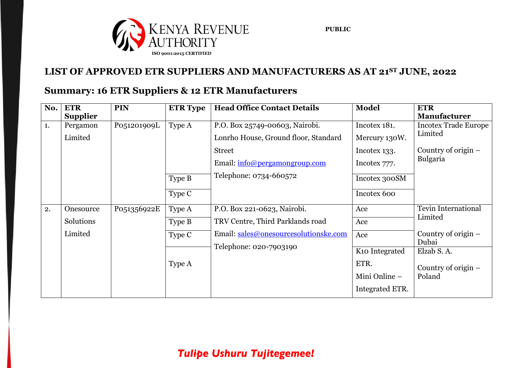

#### **LIST OF APPROVED ETR SUPPLIERS AND MANUFACTURERS AS AT 21 ST JUNE, 2022**

#### **Summary: 16 ETR Suppliers & 12 ETR Manufacturers**

| No. | <b>ETR</b>      | <b>PIN</b>  | <b>ETR Type</b> | <b>Head Office Contact Details</b>    | <b>Model</b>               | <b>ETR</b>                  |
|-----|-----------------|-------------|-----------------|---------------------------------------|----------------------------|-----------------------------|
|     | <b>Supplier</b> |             |                 |                                       |                            | <b>Manufacturer</b>         |
| 1.  | Pergamon        | P051201909L | Type A          | P.O. Box 25749-00603, Nairobi.        | Incotex 181.               | <b>Incotex Trade Europe</b> |
|     | Limited         |             |                 | Lonrho House, Ground floor, Standard  | Mercury 130W.              | Limited                     |
|     |                 |             |                 | <b>Street</b>                         | Incotex 133.               | Country of origin $-$       |
|     |                 |             |                 | Email: info@pergamongroup.com         | Incotex 777.               | <b>Bulgaria</b>             |
|     |                 |             | Type B          | Telephone: 0734-660572                | Incotex 300SM              |                             |
|     |                 |             | Type C          |                                       | Incotex 600                |                             |
| 2.  | Onesource       | P051356922E | Type A          | P.O. Box 221-0623, Nairobi.           | Ace                        | Tevin International         |
|     | Solutions       |             | Type B          | TRV Centre, Third Parklands road      | Ace                        | Limited                     |
|     | Limited         |             | Type C          | Email: sales@onesourcesolutionske.com | Ace                        | Country of origin $-$       |
|     |                 |             |                 | Telephone: 020-7903190                |                            | Dubai                       |
|     |                 |             |                 |                                       | K <sub>10</sub> Integrated | Elzab S.A.                  |
|     |                 |             | Type A          |                                       | ETR.                       | Country of origin $-$       |
|     |                 |             |                 |                                       | Mini Online -              | Poland                      |
|     |                 |             |                 |                                       | Integrated ETR.            |                             |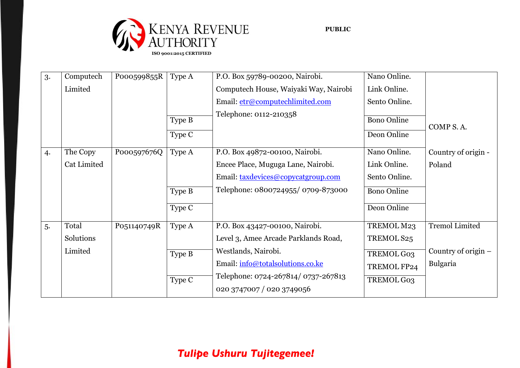

| 3. | Computech   | P000599855R | Type A | P.O. Box 59789-00200, Nairobi.                                   | Nano Online.       |                       |
|----|-------------|-------------|--------|------------------------------------------------------------------|--------------------|-----------------------|
|    | Limited     |             |        | Computech House, Waiyaki Way, Nairobi                            | Link Online.       |                       |
|    |             |             |        | Email: etr@computechlimited.com                                  | Sento Online.      |                       |
|    |             |             | Type B | Telephone: 0112-210358                                           | <b>Bono Online</b> |                       |
|    |             |             | Type C |                                                                  | Deon Online        | COMP S.A.             |
|    |             |             |        |                                                                  |                    |                       |
| 4. | The Copy    | P000597676Q | Type A | P.O. Box 49872-00100, Nairobi.                                   | Nano Online.       | Country of origin -   |
|    | Cat Limited |             |        | Encee Place, Muguga Lane, Nairobi.                               | Link Online.       | Poland                |
|    |             |             |        | Email: taxdevices@copycatgroup.com                               | Sento Online.      |                       |
|    |             |             | Type B | Telephone: 0800724955/0709-873000                                | <b>Bono Online</b> |                       |
|    |             |             | Type C |                                                                  | Deon Online        |                       |
| 5. | Total       | P051140749R | Type A | P.O. Box 43427-00100, Nairobi.                                   | TREMOL M23         | <b>Tremol Limited</b> |
|    | Solutions   |             |        | Level 3, Amee Arcade Parklands Road,                             | TREMOL S25         |                       |
|    | Limited     |             | Type B | Westlands, Nairobi.                                              | TREMOL G03         | Country of origin $-$ |
|    |             |             |        | Email: info@totalsolutions.co.ke                                 | TREMOL FP24        | Bulgaria              |
|    |             |             | Type C | Telephone: 0724-267814/ 0737-267813<br>020 3747007 / 020 3749056 | TREMOL G03         |                       |
|    |             |             |        |                                                                  |                    |                       |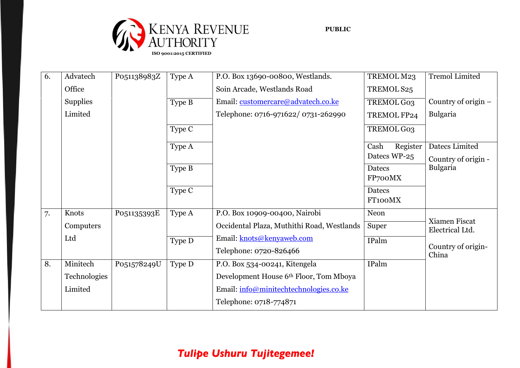

| 6. | Advatech        | P051138983Z | Type A | P.O. Box 13690-00800, Westlands.           | TREMOL M23       | <b>Tremol Limited</b>       |
|----|-----------------|-------------|--------|--------------------------------------------|------------------|-----------------------------|
|    | Office          |             |        | Soin Arcade, Westlands Road                | TREMOL S25       |                             |
|    | <b>Supplies</b> |             | Type B | Email: customercare@advatech.co.ke         | TREMOL G03       | Country of origin $-$       |
|    | Limited         |             |        | Telephone: 0716-971622/ 0731-262990        | TREMOL FP24      | Bulgaria                    |
|    |                 |             | Type C |                                            | TREMOL G03       |                             |
|    |                 |             | Type A |                                            | Register<br>Cash | Datecs Limited              |
|    |                 |             |        |                                            | Datecs WP-25     | Country of origin -         |
|    |                 |             | Type B |                                            | <b>Datecs</b>    | <b>Bulgaria</b>             |
|    |                 |             |        |                                            | FP700MX          |                             |
|    |                 |             | Type C |                                            | <b>Datecs</b>    |                             |
|    |                 |             |        |                                            | FT100MX          |                             |
| 7. | Knots           | P051135393E | Type A | P.O. Box 10909-00400, Nairobi              | Neon             | Xiamen Fiscat               |
|    | Computers       |             |        | Occidental Plaza, Muthithi Road, Westlands | Super            | Electrical Ltd.             |
|    | Ltd             |             | Type D | Email: knots@kenyaweb.com                  | IPalm            |                             |
|    |                 |             |        | Telephone: 0720-826466                     |                  | Country of origin-<br>China |
| 8. | Minitech        | P051578249U | Type D | P.O. Box 534-00241, Kitengela              | IPalm            |                             |
|    | Technologies    |             |        | Development House 6th Floor, Tom Mboya     |                  |                             |
|    | Limited         |             |        | Email: info@minitechtechnologies.co.ke     |                  |                             |
|    |                 |             |        | Telephone: 0718-774871                     |                  |                             |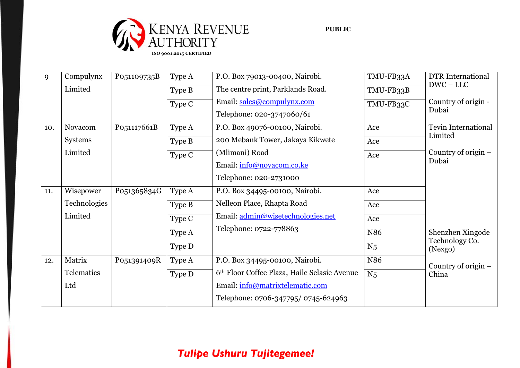

| 9   | Compulynx    | P051109735B | Type A | P.O. Box 79013-00400, Nairobi.               | TMU-FB33A       | <b>DTR</b> International       |
|-----|--------------|-------------|--------|----------------------------------------------|-----------------|--------------------------------|
|     | Limited      |             | Type B | The centre print, Parklands Road.            | TMU-FB33B       | $DWC - LLC$                    |
|     |              |             | Type C | Email: sales@compulynx.com                   | TMU-FB33C       | Country of origin -            |
|     |              |             |        | Telephone: 020-3747060/61                    |                 | Dubai                          |
| 10. | Novacom      | P051117661B | Type A | P.O. Box 49076-00100, Nairobi.               | Ace             | Tevin International            |
|     | Systems      |             | Type B | 200 Mebank Tower, Jakaya Kikwete             | Ace             | Limited                        |
|     | Limited      |             | Type C | (Mlimani) Road                               | Ace             | Country of origin $-$          |
|     |              |             |        | Email: info@novacom.co.ke                    |                 | Dubai                          |
|     |              |             |        | Telephone: 020-2731000                       |                 |                                |
| 11. | Wisepower    | P051365834G | Type A | P.O. Box 34495-00100, Nairobi.               | Ace             |                                |
|     | Technologies |             | Type B | Nelleon Place, Rhapta Road                   | Ace             |                                |
|     | Limited      |             | Type C | Email: admin@wisetechnologies.net            | Ace             |                                |
|     |              |             | Type A | Telephone: 0722-778863                       | N <sub>86</sub> | Shenzhen Xingode               |
|     |              |             | Type D |                                              | N <sub>5</sub>  | Technology Co.<br>(Nexgo)      |
| 12. | Matrix       | P051391409R | Type A | P.O. Box 34495-00100, Nairobi.               | N86             |                                |
|     | Telematics   |             | Type D | 6th Floor Coffee Plaza, Haile Selasie Avenue | N <sub>5</sub>  | Country of origin $-$<br>China |
|     | Ltd          |             |        | Email: info@matrixtelematic.com              |                 |                                |
|     |              |             |        | Telephone: 0706-347795/0745-624963           |                 |                                |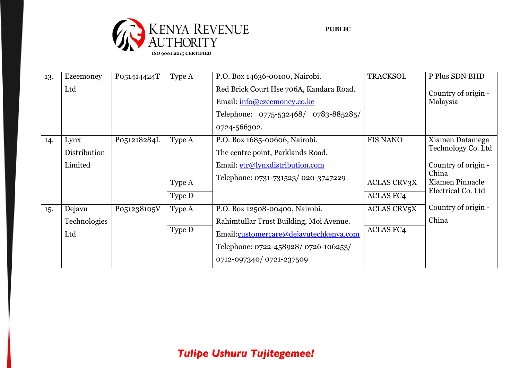

| 13. | Ezeemoney    | P051414424T | Type A | P.O. Box 14636-00100, Nairobi.          | <b>TRACKSOL</b>               | P Plus SDN BHD      |
|-----|--------------|-------------|--------|-----------------------------------------|-------------------------------|---------------------|
|     | Ltd          |             |        | Red Brick Court Hse 706A, Kandara Road. |                               | Country of origin - |
|     |              |             |        | Email: info@ezeemoney.co.ke             |                               | Malaysia            |
|     |              |             |        | Telephone: 0775-532468/ 0783-885285/    |                               |                     |
|     |              |             |        | 0724-566302.                            |                               |                     |
| 14. | Lynx         | P051218284L | Type A | P.O. Box 1685-00606, Nairobi.           | <b>FIS NANO</b>               | Xiamen Datamega     |
|     | Distribution |             |        | The centre point, Parklands Road.       |                               | Technology Co. Ltd  |
|     | Limited      |             |        | Email: etr@lynxdistribution.com         |                               | Country of origin - |
|     |              |             |        | Telephone: 0731-731523/ 020-3747229     |                               | China               |
|     |              |             | Type A |                                         | <b>ACLAS CRV3X</b>            | Xiamen Pinnacle     |
|     |              |             | Type D |                                         | <b>ACLAS FC4</b>              | Electrical Co. Ltd  |
| 15. | Dejavu       | P051238105V | Type A | P.O. Box 12508-00400, Nairobi.          | <b>ACLAS CRV<sub>5</sub>X</b> | Country of origin - |
|     | Technologies |             |        | Rahimtullar Trust Building, Moi Avenue. |                               | China               |
|     | Ltd          |             | Type D | Email:customercare@dejavutechkenya.com  | <b>ACLAS FC4</b>              |                     |
|     |              |             |        | Telephone: 0722-458928/0726-106253/     |                               |                     |
|     |              |             |        | 0712-097340/0721-237509                 |                               |                     |